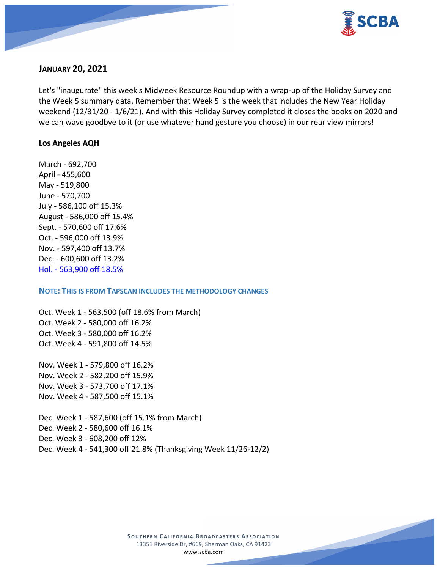

## **JANUARY 20, 2021**

Let's "inaugurate" this week's Midweek Resource Roundup with a wrap-up of the Holiday Survey and the Week 5 summary data. Remember that Week 5 is the week that includes the New Year Holiday weekend (12/31/20 - 1/6/21). And with this Holiday Survey completed it closes the books on 2020 and we can wave goodbye to it (or use whatever hand gesture you choose) in our rear view mirrors!

#### **Los Angeles AQH**

March - 692,700 April - 455,600 May - 519,800 June - 570,700 July - 586,100 off 15.3% August - 586,000 off 15.4% Sept. - 570,600 off 17.6% Oct. - 596,000 off 13.9% Nov. - 597,400 off 13.7% Dec. - 600,600 off 13.2% Hol. - 563,900 off 18.5%

## **NOTE: THIS IS FROM TAPSCAN INCLUDES THE METHODOLOGY CHANGES**

Oct. Week 1 - 563,500 (off 18.6% from March) Oct. Week 2 - 580,000 off 16.2% Oct. Week 3 - 580,000 off 16.2% Oct. Week 4 - 591,800 off 14.5%

Nov. Week 1 - 579,800 off 16.2% Nov. Week 2 - 582,200 off 15.9% Nov. Week 3 - 573,700 off 17.1% Nov. Week 4 - 587,500 off 15.1%

Dec. Week 1 - 587,600 (off 15.1% from March) Dec. Week 2 - 580,600 off 16.1% Dec. Week 3 - 608,200 off 12% Dec. Week 4 - 541,300 off 21.8% (Thanksgiving Week 11/26-12/2)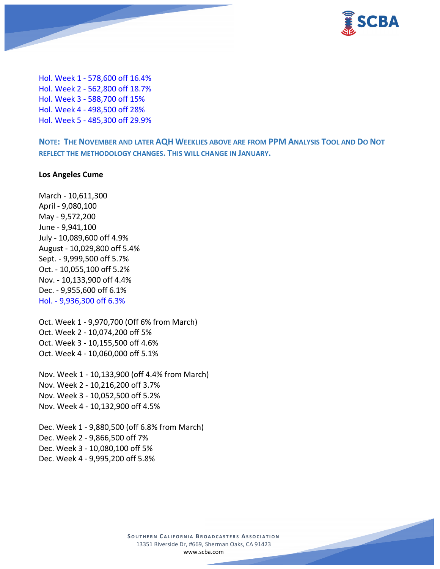

Hol. Week 1 - 578,600 off 16.4% Hol. Week 2 - 562,800 off 18.7% Hol. Week 3 - 588,700 off 15% Hol. Week 4 - 498,500 off 28% Hol. Week 5 - 485,300 off 29.9%

**NOTE: THE NOVEMBER AND LATER AQH WEEKLIES ABOVE ARE FROM PPM ANALYSIS TOOL AND DO NOT REFLECT THE METHODOLOGY CHANGES. THIS WILL CHANGE IN JANUARY.**

#### **Los Angeles Cume**

March - 10,611,300 April - 9,080,100 May - 9,572,200 June - 9,941,100 July - 10,089,600 off 4.9% August - 10,029,800 off 5.4% Sept. - 9,999,500 off 5.7% Oct. - 10,055,100 off 5.2% Nov. - 10,133,900 off 4.4% Dec. - 9,955,600 off 6.1% Hol. - 9,936,300 off 6.3%

Oct. Week 1 - 9,970,700 (Off 6% from March) Oct. Week 2 - 10,074,200 off 5% Oct. Week 3 - 10,155,500 off 4.6% Oct. Week 4 - 10,060,000 off 5.1%

Nov. Week 1 - 10,133,900 (off 4.4% from March) Nov. Week 2 - 10,216,200 off 3.7% Nov. Week 3 - 10,052,500 off 5.2% Nov. Week 4 - 10,132,900 off 4.5%

Dec. Week 1 - 9,880,500 (off 6.8% from March) Dec. Week 2 - 9,866,500 off 7% Dec. Week 3 - 10,080,100 off 5% Dec. Week 4 - 9,995,200 off 5.8%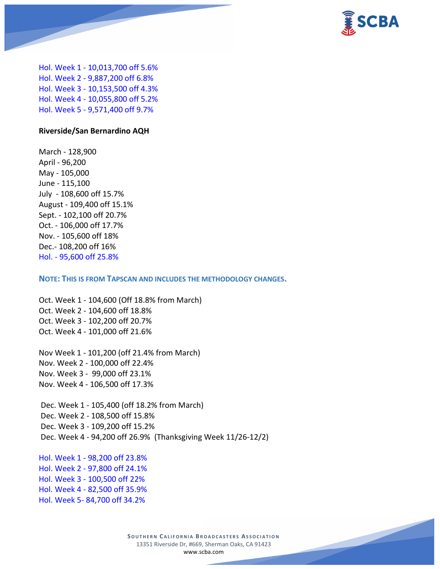

Hol. Week 1 - 10,013,700 off 5.6% Hol. Week 2 - 9,887,200 off 6.8% Hol. Week 3 - 10,153,500 off 4.3% Hol. Week 4 - 10,055,800 off 5.2% Hol. Week 5 - 9,571,400 off 9.7%

#### **Riverside/San Bernardino AQH**

March - 128,900 April - 96,200 May - 105,000 June - 115,100 July - 108,600 off 15.7% August - 109,400 off 15.1% Sept. - 102,100 off 20.7% Oct. - 106,000 off 17.7% Nov. - 105,600 off 18% Dec.- 108,200 off 16% Hol. - 95,600 off 25.8%

**NOTE: THIS IS FROM TAPSCAN AND INCLUDES THE METHODOLOGY CHANGES.** 

Oct. Week 1 - 104,600 (Off 18.8% from March) Oct. Week 2 - 104,600 off 18.8% Oct. Week 3 - 102,200 off 20.7% Oct. Week 4 - 101,000 off 21.6%

Nov Week 1 - 101,200 (off 21.4% from March) Nov. Week 2 - 100,000 off 22.4% Nov. Week 3 - 99,000 off 23.1% Nov. Week 4 - 106,500 off 17.3%

Dec. Week 1 - 105,400 (off 18.2% from March) Dec. Week 2 - 108,500 off 15.8% Dec. Week 3 - 109,200 off 15.2% Dec. Week 4 - 94,200 off 26.9% (Thanksgiving Week 11/26-12/2)

Hol. Week 1 - 98,200 off 23.8% Hol. Week 2 - 97,800 off 24.1% Hol. Week 3 - 100,500 off 22% Hol. Week 4 - 82,500 off 35.9% Hol. Week 5- 84,700 off 34.2%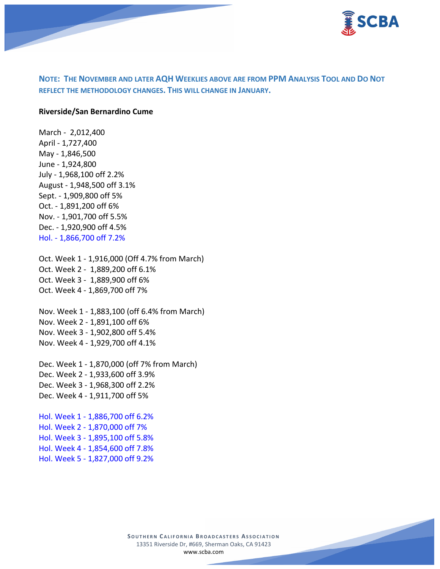

# **NOTE: THE NOVEMBER AND LATER AQH WEEKLIES ABOVE ARE FROM PPM ANALYSIS TOOL AND DO NOT REFLECT THE METHODOLOGY CHANGES. THIS WILL CHANGE IN JANUARY.**

#### **Riverside/San Bernardino Cume**

March - 2,012,400 April - 1,727,400 May - 1,846,500 June - 1,924,800 July - 1,968,100 off 2.2% August - 1,948,500 off 3.1% Sept. - 1,909,800 off 5% Oct. - 1,891,200 off 6% Nov. - 1,901,700 off 5.5% Dec. - 1,920,900 off 4.5% Hol. - 1,866,700 off 7.2%

Oct. Week 1 - 1,916,000 (Off 4.7% from March) Oct. Week 2 - 1,889,200 off 6.1% Oct. Week 3 - 1,889,900 off 6% Oct. Week 4 - 1,869,700 off 7%

Nov. Week 1 - 1,883,100 (off 6.4% from March) Nov. Week 2 - 1,891,100 off 6% Nov. Week 3 - 1,902,800 off 5.4% Nov. Week 4 - 1,929,700 off 4.1%

Dec. Week 1 - 1,870,000 (off 7% from March) Dec. Week 2 - 1,933,600 off 3.9% Dec. Week 3 - 1,968,300 off 2.2% Dec. Week 4 - 1,911,700 off 5%

Hol. Week 1 - 1,886,700 off 6.2% Hol. Week 2 - 1,870,000 off 7% Hol. Week 3 - 1,895,100 off 5.8% Hol. Week 4 - 1,854,600 off 7.8% Hol. Week 5 - 1,827,000 off 9.2%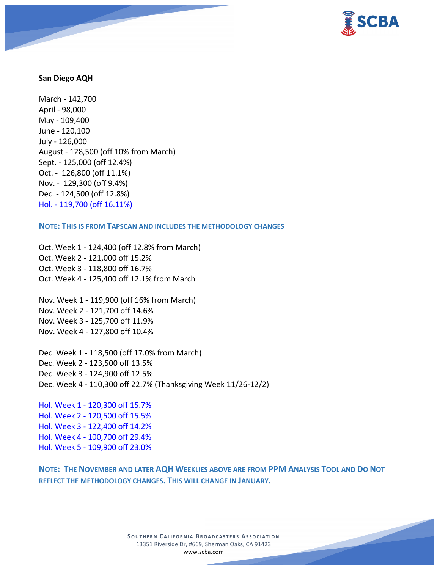

#### **San Diego AQH**

March - 142,700 April - 98,000 May - 109,400 June - 120,100 July - 126,000 August - 128,500 (off 10% from March) Sept. - 125,000 (off 12.4%) Oct. - 126,800 (off 11.1%) Nov. - 129,300 (off 9.4%) Dec. - 124,500 (off 12.8%) Hol. - 119,700 (off 16.11%)

**NOTE: THIS IS FROM TAPSCAN AND INCLUDES THE METHODOLOGY CHANGES** 

Oct. Week 1 - 124,400 (off 12.8% from March) Oct. Week 2 - 121,000 off 15.2% Oct. Week 3 - 118,800 off 16.7% Oct. Week 4 - 125,400 off 12.1% from March

Nov. Week 1 - 119,900 (off 16% from March) Nov. Week 2 - 121,700 off 14.6% Nov. Week 3 - 125,700 off 11.9% Nov. Week 4 - 127,800 off 10.4%

Dec. Week 1 - 118,500 (off 17.0% from March) Dec. Week 2 - 123,500 off 13.5% Dec. Week 3 - 124,900 off 12.5% Dec. Week 4 - 110,300 off 22.7% (Thanksgiving Week 11/26-12/2)

Hol. Week 1 - 120,300 off 15.7% Hol. Week 2 - 120,500 off 15.5% Hol. Week 3 - 122,400 off 14.2% Hol. Week 4 - 100,700 off 29.4% Hol. Week 5 - 109,900 off 23.0%

**NOTE: THE NOVEMBER AND LATER AQH WEEKLIES ABOVE ARE FROM PPM ANALYSIS TOOL AND DO NOT REFLECT THE METHODOLOGY CHANGES. THIS WILL CHANGE IN JANUARY.**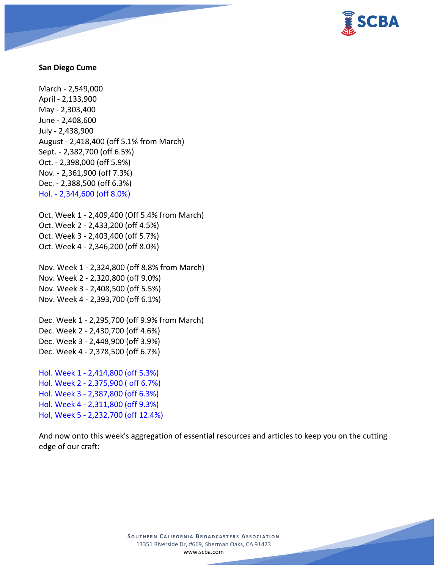

#### **San Diego Cume**

March - 2,549,000 April - 2,133,900 May - 2,303,400 June - 2,408,600 July - 2,438,900 August - 2,418,400 (off 5.1% from March) Sept. - 2,382,700 (off 6.5%) Oct. - 2,398,000 (off 5.9%) Nov. - 2,361,900 (off 7.3%) Dec. - 2,388,500 (off 6.3%) Hol. - 2,344,600 (off 8.0%)

Oct. Week 1 - 2,409,400 (Off 5.4% from March) Oct. Week 2 - 2,433,200 (off 4.5%) Oct. Week 3 - 2,403,400 (off 5.7%) Oct. Week 4 - 2,346,200 (off 8.0%)

Nov. Week 1 - 2,324,800 (off 8.8% from March) Nov. Week 2 - 2,320,800 (off 9.0%) Nov. Week 3 - 2,408,500 (off 5.5%) Nov. Week 4 - 2,393,700 (off 6.1%)

Dec. Week 1 - 2,295,700 (off 9.9% from March) Dec. Week 2 - 2,430,700 (off 4.6%) Dec. Week 3 - 2,448,900 (off 3.9%) Dec. Week 4 - 2,378,500 (off 6.7%)

Hol. Week 1 - 2,414,800 (off 5.3%) Hol. Week 2 - 2,375,900 ( off 6.7%) Hol. Week 3 - 2,387,800 (off 6.3%) Hol. Week 4 - 2,311,800 (off 9.3%) Hol, Week 5 - 2,232,700 (off 12.4%)

And now onto this week's aggregation of essential resources and articles to keep you on the cutting edge of our craft: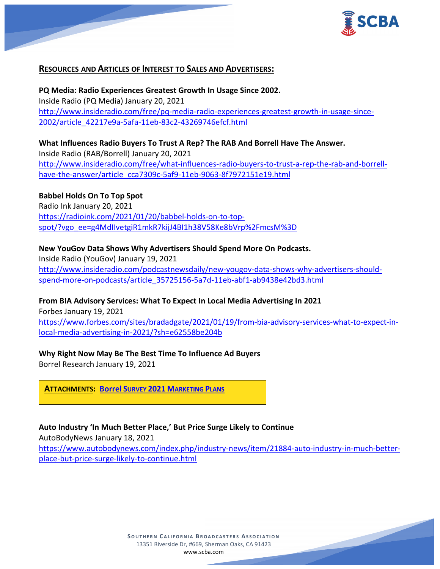

# **RESOURCES AND ARTICLES OF INTEREST TO SALES AND ADVERTISERS:**

**PQ Media: Radio Experiences Greatest Growth In Usage Since 2002.** Inside Radio (PQ Media) January 20, 2021 [http://www.insideradio.com/free/pq-media-radio-experiences-greatest-growth-in-usage-since-](http://www.insideradio.com/free/pq-media-radio-experiences-greatest-growth-in-usage-since-2002/article_42217e9a-5afa-11eb-83c2-43269746efcf.html)[2002/article\\_42217e9a-5afa-11eb-83c2-43269746efcf.html](http://www.insideradio.com/free/pq-media-radio-experiences-greatest-growth-in-usage-since-2002/article_42217e9a-5afa-11eb-83c2-43269746efcf.html)

**What Influences Radio Buyers To Trust A Rep? The RAB And Borrell Have The Answer.** Inside Radio (RAB/Borrell) January 20, 2021 [http://www.insideradio.com/free/what-influences-radio-buyers-to-trust-a-rep-the-rab-and-borrell](http://www.insideradio.com/free/what-influences-radio-buyers-to-trust-a-rep-the-rab-and-borrell-have-the-answer/article_cca7309c-5af9-11eb-9063-8f7972151e19.html)[have-the-answer/article\\_cca7309c-5af9-11eb-9063-8f7972151e19.html](http://www.insideradio.com/free/what-influences-radio-buyers-to-trust-a-rep-the-rab-and-borrell-have-the-answer/article_cca7309c-5af9-11eb-9063-8f7972151e19.html)

## **Babbel Holds On To Top Spot**

Radio Ink January 20, 2021 [https://radioink.com/2021/01/20/babbel-holds-on-to-top](https://radioink.com/2021/01/20/babbel-holds-on-to-top-spot/?vgo_ee=g4MdIIvetgiR1mkR7kijJ4BI1h38V58Ke8bVrp%2FmcsM%3D)[spot/?vgo\\_ee=g4MdIIvetgiR1mkR7kijJ4BI1h38V58Ke8bVrp%2FmcsM%3D](https://radioink.com/2021/01/20/babbel-holds-on-to-top-spot/?vgo_ee=g4MdIIvetgiR1mkR7kijJ4BI1h38V58Ke8bVrp%2FmcsM%3D)

## **New YouGov Data Shows Why Advertisers Should Spend More On Podcasts.**

Inside Radio (YouGov) January 19, 2021 [http://www.insideradio.com/podcastnewsdaily/new-yougov-data-shows-why-advertisers-should](http://www.insideradio.com/podcastnewsdaily/new-yougov-data-shows-why-advertisers-should-spend-more-on-podcasts/article_35725156-5a7d-11eb-abf1-ab9438e42bd3.html)[spend-more-on-podcasts/article\\_35725156-5a7d-11eb-abf1-ab9438e42bd3.html](http://www.insideradio.com/podcastnewsdaily/new-yougov-data-shows-why-advertisers-should-spend-more-on-podcasts/article_35725156-5a7d-11eb-abf1-ab9438e42bd3.html)

### **From BIA Advisory Services: What To Expect In Local Media Advertising In 2021**

Forbes January 19, 2021 [https://www.forbes.com/sites/bradadgate/2021/01/19/from-bia-advisory-services-what-to-expect-in](https://www.forbes.com/sites/bradadgate/2021/01/19/from-bia-advisory-services-what-to-expect-in-local-media-advertising-in-2021/?sh=e62558be204b)[local-media-advertising-in-2021/?sh=e62558be204b](https://www.forbes.com/sites/bradadgate/2021/01/19/from-bia-advisory-services-what-to-expect-in-local-media-advertising-in-2021/?sh=e62558be204b)

### **Why Right Now May Be The Best Time To Influence Ad Buyers**

Borrel Research January 19, 2021

**ATTACHMENTS: Borrel SURVEY 2021 [MARKETING PLANS](https://scba.com/borrel-survey-2021-marketing-plans-exsum-1-19-21/)**

### **Auto Industry 'In Much Better Place,' But Price Surge Likely to Continue**

AutoBodyNews January 18, 2021

[https://www.autobodynews.com/index.php/industry-news/item/21884-auto-industry-in-much-better](https://www.autobodynews.com/index.php/industry-news/item/21884-auto-industry-in-much-better-place-but-price-surge-likely-to-continue.html)[place-but-price-surge-likely-to-continue.html](https://www.autobodynews.com/index.php/industry-news/item/21884-auto-industry-in-much-better-place-but-price-surge-likely-to-continue.html)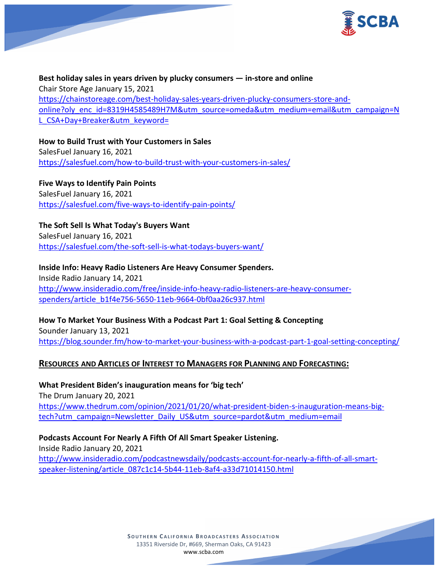

**Best holiday sales in years driven by plucky consumers — in-store and online** Chair Store Age January 15, 2021 [https://chainstoreage.com/best-holiday-sales-years-driven-plucky-consumers-store-and](https://chainstoreage.com/best-holiday-sales-years-driven-plucky-consumers-store-and-online?oly_enc_id=8319H4585489H7M&utm_source=omeda&utm_medium=email&utm_campaign=NL_CSA+Day+Breaker&utm_keyword=)[online?oly\\_enc\\_id=8319H4585489H7M&utm\\_source=omeda&utm\\_medium=email&utm\\_campaign=N](https://chainstoreage.com/best-holiday-sales-years-driven-plucky-consumers-store-and-online?oly_enc_id=8319H4585489H7M&utm_source=omeda&utm_medium=email&utm_campaign=NL_CSA+Day+Breaker&utm_keyword=) [L\\_CSA+Day+Breaker&utm\\_keyword=](https://chainstoreage.com/best-holiday-sales-years-driven-plucky-consumers-store-and-online?oly_enc_id=8319H4585489H7M&utm_source=omeda&utm_medium=email&utm_campaign=NL_CSA+Day+Breaker&utm_keyword=)

**How to Build Trust with Your Customers in Sales** SalesFuel January 16, 2021 <https://salesfuel.com/how-to-build-trust-with-your-customers-in-sales/>

**Five Ways to Identify Pain Points** SalesFuel January 16, 2021 <https://salesfuel.com/five-ways-to-identify-pain-points/>

**The Soft Sell Is What Today's Buyers Want** SalesFuel January 16, 2021 <https://salesfuel.com/the-soft-sell-is-what-todays-buyers-want/>

**Inside Info: Heavy Radio Listeners Are Heavy Consumer Spenders.** Inside Radio January 14, 2021 [http://www.insideradio.com/free/inside-info-heavy-radio-listeners-are-heavy-consumer](http://www.insideradio.com/free/inside-info-heavy-radio-listeners-are-heavy-consumer-spenders/article_b1f4e756-5650-11eb-9664-0bf0aa26c937.html)[spenders/article\\_b1f4e756-5650-11eb-9664-0bf0aa26c937.html](http://www.insideradio.com/free/inside-info-heavy-radio-listeners-are-heavy-consumer-spenders/article_b1f4e756-5650-11eb-9664-0bf0aa26c937.html)

**How To Market Your Business With a Podcast Part 1: Goal Setting & Concepting** Sounder January 13, 2021 <https://blog.sounder.fm/how-to-market-your-business-with-a-podcast-part-1-goal-setting-concepting/>

# **RESOURCES AND ARTICLES OF INTEREST TO MANAGERS FOR PLANNING AND FORECASTING:**

**What President Biden's inauguration means for 'big tech'** The Drum January 20, 2021

[https://www.thedrum.com/opinion/2021/01/20/what-president-biden-s-inauguration-means-big](https://www.thedrum.com/opinion/2021/01/20/what-president-biden-s-inauguration-means-big-tech?utm_campaign=Newsletter_Daily_US&utm_source=pardot&utm_medium=email)[tech?utm\\_campaign=Newsletter\\_Daily\\_US&utm\\_source=pardot&utm\\_medium=email](https://www.thedrum.com/opinion/2021/01/20/what-president-biden-s-inauguration-means-big-tech?utm_campaign=Newsletter_Daily_US&utm_source=pardot&utm_medium=email)

**Podcasts Account For Nearly A Fifth Of All Smart Speaker Listening.** Inside Radio January 20, 2021 [http://www.insideradio.com/podcastnewsdaily/podcasts-account-for-nearly-a-fifth-of-all-smart](http://www.insideradio.com/podcastnewsdaily/podcasts-account-for-nearly-a-fifth-of-all-smart-speaker-listening/article_087c1c14-5b44-11eb-8af4-a33d71014150.html)[speaker-listening/article\\_087c1c14-5b44-11eb-8af4-a33d71014150.html](http://www.insideradio.com/podcastnewsdaily/podcasts-account-for-nearly-a-fifth-of-all-smart-speaker-listening/article_087c1c14-5b44-11eb-8af4-a33d71014150.html)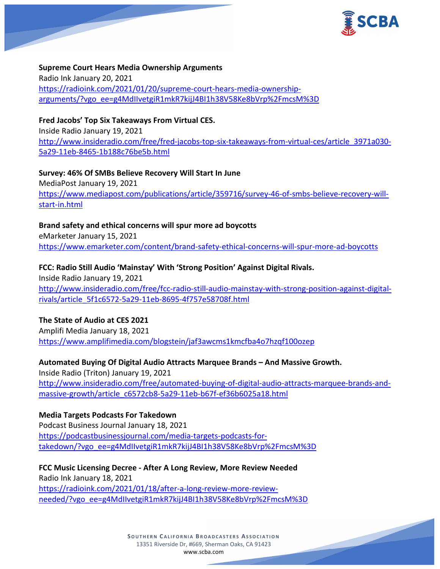

**Supreme Court Hears Media Ownership Arguments** Radio Ink January 20, 2021 [https://radioink.com/2021/01/20/supreme-court-hears-media-ownership](https://radioink.com/2021/01/20/supreme-court-hears-media-ownership-arguments/?vgo_ee=g4MdIIvetgiR1mkR7kijJ4BI1h38V58Ke8bVrp%2FmcsM%3D)[arguments/?vgo\\_ee=g4MdIIvetgiR1mkR7kijJ4BI1h38V58Ke8bVrp%2FmcsM%3D](https://radioink.com/2021/01/20/supreme-court-hears-media-ownership-arguments/?vgo_ee=g4MdIIvetgiR1mkR7kijJ4BI1h38V58Ke8bVrp%2FmcsM%3D)

**Fred Jacobs' Top Six Takeaways From Virtual CES.**

Inside Radio January 19, 2021 [http://www.insideradio.com/free/fred-jacobs-top-six-takeaways-from-virtual-ces/article\\_3971a030-](http://www.insideradio.com/free/fred-jacobs-top-six-takeaways-from-virtual-ces/article_3971a030-5a29-11eb-8465-1b188c76be5b.html) [5a29-11eb-8465-1b188c76be5b.html](http://www.insideradio.com/free/fred-jacobs-top-six-takeaways-from-virtual-ces/article_3971a030-5a29-11eb-8465-1b188c76be5b.html)

**Survey: 46% Of SMBs Believe Recovery Will Start In June** MediaPost January 19, 2021 [https://www.mediapost.com/publications/article/359716/survey-46-of-smbs-believe-recovery-will](https://www.mediapost.com/publications/article/359716/survey-46-of-smbs-believe-recovery-will-start-in.html)[start-in.html](https://www.mediapost.com/publications/article/359716/survey-46-of-smbs-believe-recovery-will-start-in.html)

**Brand safety and ethical concerns will spur more ad boycotts**

eMarketer January 15, 2021 <https://www.emarketer.com/content/brand-safety-ethical-concerns-will-spur-more-ad-boycotts>

**FCC: Radio Still Audio 'Mainstay' With 'Strong Position' Against Digital Rivals.** Inside Radio January 19, 2021 [http://www.insideradio.com/free/fcc-radio-still-audio-mainstay-with-strong-position-against-digital](http://www.insideradio.com/free/fcc-radio-still-audio-mainstay-with-strong-position-against-digital-rivals/article_5f1c6572-5a29-11eb-8695-4f757e58708f.html)[rivals/article\\_5f1c6572-5a29-11eb-8695-4f757e58708f.html](http://www.insideradio.com/free/fcc-radio-still-audio-mainstay-with-strong-position-against-digital-rivals/article_5f1c6572-5a29-11eb-8695-4f757e58708f.html)

# **The State of Audio at CES 2021**

Amplifi Media January 18, 2021 <https://www.amplifimedia.com/blogstein/jaf3awcms1kmcfba4o7hzqf100ozep>

**Automated Buying Of Digital Audio Attracts Marquee Brands – And Massive Growth.** Inside Radio (Triton) January 19, 2021 [http://www.insideradio.com/free/automated-buying-of-digital-audio-attracts-marquee-brands-and](http://www.insideradio.com/free/automated-buying-of-digital-audio-attracts-marquee-brands-and-massive-growth/article_c6572cb8-5a29-11eb-b67f-ef36b6025a18.html)[massive-growth/article\\_c6572cb8-5a29-11eb-b67f-ef36b6025a18.html](http://www.insideradio.com/free/automated-buying-of-digital-audio-attracts-marquee-brands-and-massive-growth/article_c6572cb8-5a29-11eb-b67f-ef36b6025a18.html)

**Media Targets Podcasts For Takedown** Podcast Business Journal January 18, 2021 [https://podcastbusinessjournal.com/media-targets-podcasts-for](https://podcastbusinessjournal.com/media-targets-podcasts-for-takedown/?vgo_ee=g4MdIIvetgiR1mkR7kijJ4BI1h38V58Ke8bVrp%2FmcsM%3D)[takedown/?vgo\\_ee=g4MdIIvetgiR1mkR7kijJ4BI1h38V58Ke8bVrp%2FmcsM%3D](https://podcastbusinessjournal.com/media-targets-podcasts-for-takedown/?vgo_ee=g4MdIIvetgiR1mkR7kijJ4BI1h38V58Ke8bVrp%2FmcsM%3D)

**FCC Music Licensing Decree - After A Long Review, More Review Needed** Radio Ink January 18, 2021 [https://radioink.com/2021/01/18/after-a-long-review-more-review](https://radioink.com/2021/01/18/after-a-long-review-more-review-needed/?vgo_ee=g4MdIIvetgiR1mkR7kijJ4BI1h38V58Ke8bVrp%2FmcsM%3D)[needed/?vgo\\_ee=g4MdIIvetgiR1mkR7kijJ4BI1h38V58Ke8bVrp%2FmcsM%3D](https://radioink.com/2021/01/18/after-a-long-review-more-review-needed/?vgo_ee=g4MdIIvetgiR1mkR7kijJ4BI1h38V58Ke8bVrp%2FmcsM%3D)